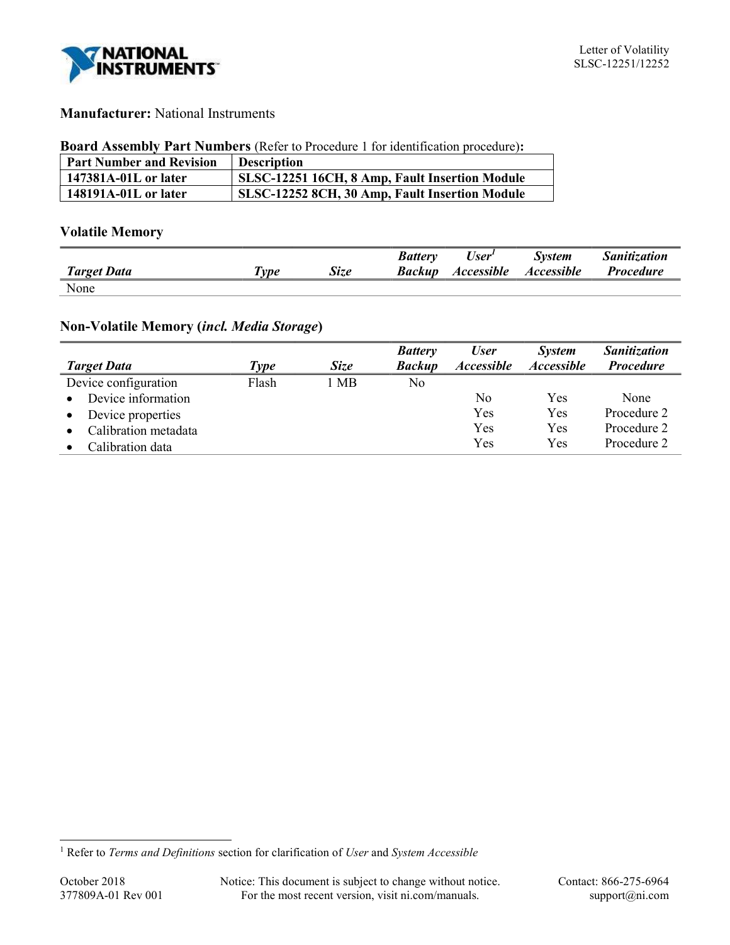

# Manufacturer: National Instruments

#### Board Assembly Part Numbers (Refer to Procedure 1 for identification procedure):

| <b>Part Number and Revision</b> | <b>Description</b>                             |
|---------------------------------|------------------------------------------------|
| 147381A-01L or later            | SLSC-12251 16CH, 8 Amp, Fault Insertion Module |
| 148191A-01L or later            | SLSC-12252 8CH, 30 Amp, Fault Insertion Module |

# Volatile Memory

|                    |                     |             | <b>Battery</b> | User <sup>1</sup> | <b>System</b>            | <b>Sanitization</b> |
|--------------------|---------------------|-------------|----------------|-------------------|--------------------------|---------------------|
| <b>Target Data</b> | $\tau_{\nu \rho e}$ | <b>Size</b> | Backup         | <b>Accessible</b> | <i><b>Accessible</b></i> | <i>Procedure</i>    |
| None               |                     |             |                |                   |                          |                     |

# Non-Volatile Memory (incl. Media Storage)

|                                   |       |             | <b>Battery</b> | <b>User</b>              | <b>System</b>            | <b>Sanitization</b> |
|-----------------------------------|-------|-------------|----------------|--------------------------|--------------------------|---------------------|
| <b>Target Data</b>                | Type  | <b>Size</b> | <b>Backup</b>  | <i><b>Accessible</b></i> | <i><b>Accessible</b></i> | <b>Procedure</b>    |
| Device configuration              | Flash | 1 MB        | No             |                          |                          |                     |
| Device information<br>$\bullet$   |       |             |                | No                       | Yes                      | None                |
| Device properties<br>$\bullet$    |       |             |                | Yes                      | Yes                      | Procedure 2         |
| Calibration metadata<br>$\bullet$ |       |             |                | Yes                      | Yes                      | Procedure 2         |
| Calibration data                  |       |             |                | Yes                      | Yes                      | Procedure 2         |

 $\overline{a}$ 

<sup>&</sup>lt;sup>1</sup> Refer to Terms and Definitions section for clarification of User and System Accessible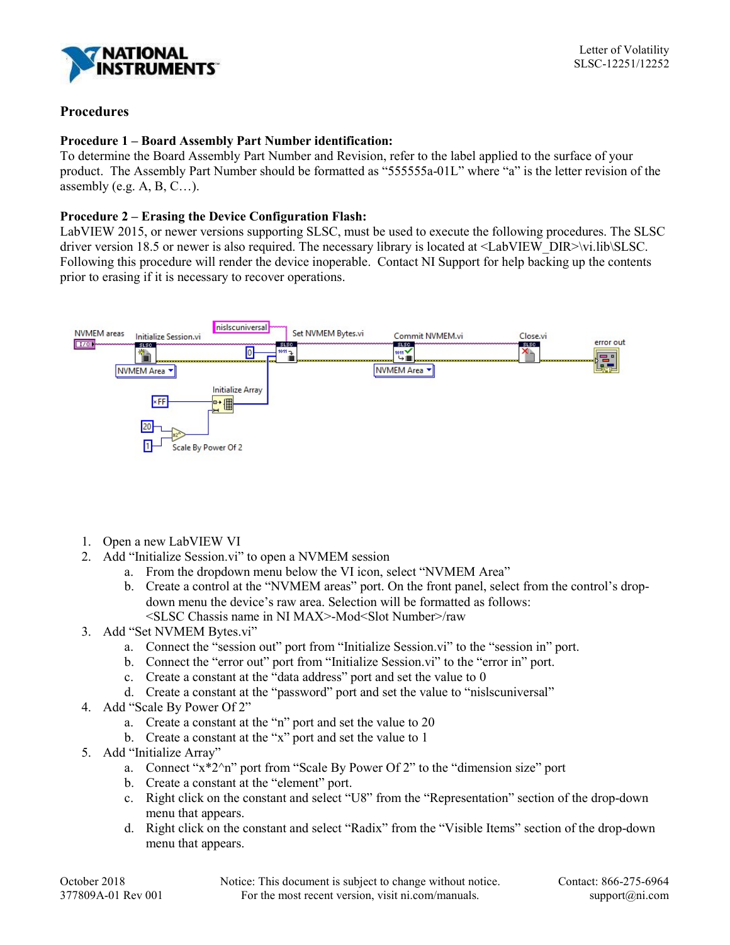

## Procedures

## Procedure 1 – Board Assembly Part Number identification:

To determine the Board Assembly Part Number and Revision, refer to the label applied to the surface of your product. The Assembly Part Number should be formatted as "555555a-01L" where "a" is the letter revision of the assembly (e.g.  $A, B, C$ ...).

## Procedure 2 – Erasing the Device Configuration Flash:

LabVIEW 2015, or newer versions supporting SLSC, must be used to execute the following procedures. The SLSC driver version 18.5 or newer is also required. The necessary library is located at <LabVIEW\_DIR>\vi.lib\SLSC. Following this procedure will render the device inoperable. Contact NI Support for help backing up the contents prior to erasing if it is necessary to recover operations.



- 1. Open a new LabVIEW VI
- 2. Add "Initialize Session.vi" to open a NVMEM session
	- a. From the dropdown menu below the VI icon, select "NVMEM Area"
	- b. Create a control at the "NVMEM areas" port. On the front panel, select from the control's dropdown menu the device's raw area. Selection will be formatted as follows: <SLSC Chassis name in NI MAX>-Mod<Slot Number>/raw
- 3. Add "Set NVMEM Bytes.vi"
	- a. Connect the "session out" port from "Initialize Session.vi" to the "session in" port.
	- b. Connect the "error out" port from "Initialize Session.vi" to the "error in" port.
	- c. Create a constant at the "data address" port and set the value to 0
	- d. Create a constant at the "password" port and set the value to "nislscuniversal"
- 4. Add "Scale By Power Of 2"
	- a. Create a constant at the "n" port and set the value to 20
	- b. Create a constant at the "x" port and set the value to 1
- 5. Add "Initialize Array"
	- a. Connect "x\*2^n" port from "Scale By Power Of 2" to the "dimension size" port
	- b. Create a constant at the "element" port.
	- c. Right click on the constant and select "U8" from the "Representation" section of the drop-down menu that appears.
	- d. Right click on the constant and select "Radix" from the "Visible Items" section of the drop-down menu that appears.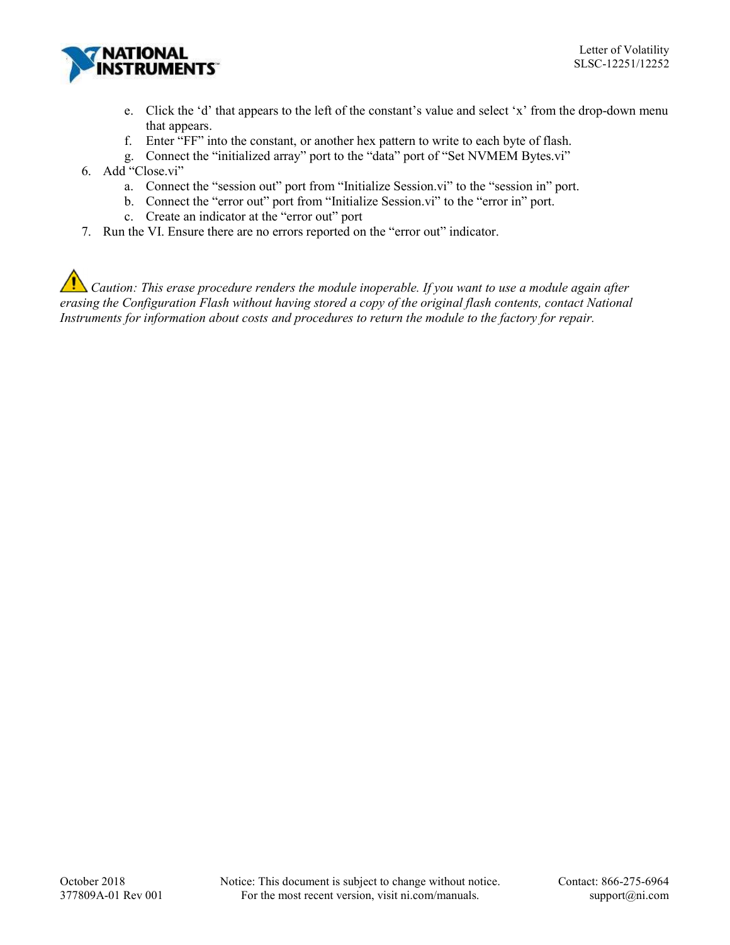

- e. Click the 'd' that appears to the left of the constant's value and select 'x' from the drop-down menu that appears.
- f. Enter "FF" into the constant, or another hex pattern to write to each byte of flash.
- g. Connect the "initialized array" port to the "data" port of "Set NVMEM Bytes.vi"
- 6. Add "Close.vi"
	- a. Connect the "session out" port from "Initialize Session.vi" to the "session in" port.
	- b. Connect the "error out" port from "Initialize Session.vi" to the "error in" port.
	- c. Create an indicator at the "error out" port
- 7. Run the VI. Ensure there are no errors reported on the "error out" indicator.

 $\Delta$  Caution: This erase procedure renders the module inoperable. If you want to use a module again after erasing the Configuration Flash without having stored a copy of the original flash contents, contact National Instruments for information about costs and procedures to return the module to the factory for repair.